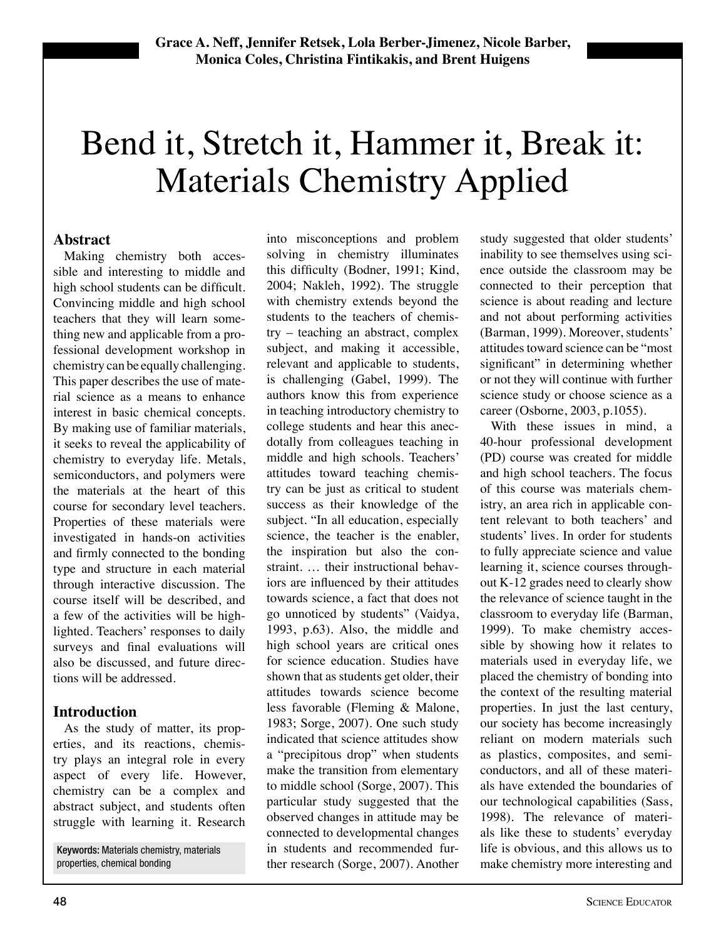# Bend it, Stretch it, Hammer it, Break it: Materials Chemistry Applied

#### **Abstract**

Making chemistry both accessible and interesting to middle and high school students can be difficult. Convincing middle and high school teachers that they will learn something new and applicable from a professional development workshop in chemistry can be equally challenging. This paper describes the use of material science as a means to enhance interest in basic chemical concepts. By making use of familiar materials, it seeks to reveal the applicability of chemistry to everyday life. Metals, semiconductors, and polymers were the materials at the heart of this course for secondary level teachers. Properties of these materials were investigated in hands-on activities and firmly connected to the bonding type and structure in each material through interactive discussion. The course itself will be described, and a few of the activities will be highlighted. Teachers' responses to daily surveys and final evaluations will also be discussed, and future directions will be addressed.

## **Introduction**

As the study of matter, its properties, and its reactions, chemistry plays an integral role in every aspect of every life. However, chemistry can be a complex and abstract subject, and students often struggle with learning it. Research

Keywords: Materials chemistry, materials properties, chemical bonding

into misconceptions and problem solving in chemistry illuminates this difficulty (Bodner, 1991; Kind, 2004; Nakleh, 1992). The struggle with chemistry extends beyond the students to the teachers of chemis $try$  – teaching an abstract, complex subject, and making it accessible, relevant and applicable to students, is challenging (Gabel, 1999). The authors know this from experience in teaching introductory chemistry to college students and hear this anecdotally from colleagues teaching in middle and high schools. Teachers' attitudes toward teaching chemistry can be just as critical to student success as their knowledge of the subject. "In all education, especially science, the teacher is the enabler, the inspiration but also the constraint. ... their instructional behaviors are influenced by their attitudes towards science, a fact that does not go unnoticed by students" (Vaidya, 1993, p.63). Also, the middle and high school years are critical ones for science education. Studies have shown that as students get older, their attitudes towards science become less favorable (Fleming  $&$  Malone, 1983; Sorge, 2007). One such study indicated that science attitudes show a "precipitous drop" when students make the transition from elementary to middle school (Sorge, 2007). This particular study suggested that the observed changes in attitude may be connected to developmental changes in students and recommended further research (Sorge, 2007). Another

study suggested that older students' inability to see themselves using science outside the classroom may be connected to their perception that science is about reading and lecture and not about performing activities (Barman, 1999). Moreover, students' attitudes toward science can be "most" significant" in determining whether or not they will continue with further science study or choose science as a career (Osborne, 2003, p.1055).

With these issues in mind, a 40-hour professional development (PD) course was created for middle and high school teachers. The focus of this course was materials chemistry, an area rich in applicable content relevant to both teachers' and students' lives. In order for students to fully appreciate science and value learning it, science courses throughout  $K-12$  grades need to clearly show the relevance of science taught in the classroom to everyday life (Barman, 1999). To make chemistry accessible by showing how it relates to materials used in everyday life, we placed the chemistry of bonding into the context of the resulting material properties. In just the last century, our society has become increasingly reliant on modern materials such as plastics, composites, and semiconductors, and all of these materials have extended the boundaries of our technological capabilities (Sass, 1998). The relevance of materials like these to students' everyday life is obvious, and this allows us to make chemistry more interesting and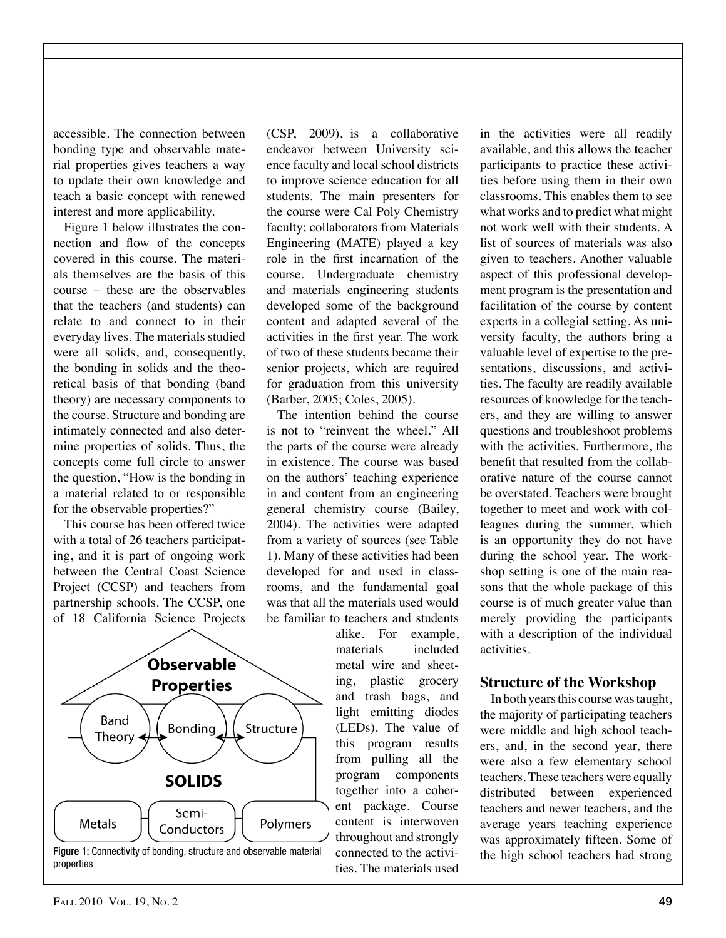accessible. The connection between bonding type and observable material properties gives teachers a way to update their own knowledge and teach a basic concept with renewed interest and more applicability.

Figure 1 below illustrates the connection and flow of the concepts covered in this course. The materials themselves are the basis of this  $course - these are the observables$ that the teachers (and students) can relate to and connect to in their everyday lives. The materials studied were all solids, and, consequently, the bonding in solids and the theoretical basis of that bonding (band theory) are necessary components to the course. Structure and bonding are intimately connected and also determine properties of solids. Thus, the concepts come full circle to answer the question, "How is the bonding in a material related to or responsible for the observable properties?"

This course has been offered twice with a total of 26 teachers participating, and it is part of ongoing work between the Central Coast Science Project (CCSP) and teachers from partnership schools. The CCSP, one of 18 California Science Projects

**Observable Properties** Band Bonding Structure Theory **SOLIDS** Semi-Metals Polymers Conductors



(CSP, 2009), is a collaborative endeavor between University science faculty and local school districts to improve science education for all students. The main presenters for the course were Cal Poly Chemistry faculty; collaborators from Materials Engineering (MATE) played a key role in the first incarnation of the course. Undergraduate chemistry and materials engineering students developed some of the background content and adapted several of the activities in the first year. The work of two of these students became their senior projects, which are required for graduation from this university (Barber, 2005; Coles, 2005).

The intention behind the course is not to "reinvent the wheel." All the parts of the course were already in existence. The course was based on the authors' teaching experience in and content from an engineering general chemistry course (Bailey, 2004). The activities were adapted from a variety of sources (see Table 1). Many of these activities had been developed for and used in classrooms, and the fundamental goal was that all the materials used would be familiar to teachers and students

> alike. For example, materials included metal wire and sheeting, plastic grocery and trash bags, and light emitting diodes  $(LEDs)$ . The value of this program results from pulling all the program components together into a coherent package. Course content is interwoven throughout and strongly connected to the activities. The materials used

in the activities were all readily available, and this allows the teacher participants to practice these activities before using them in their own classrooms. This enables them to see what works and to predict what might not work well with their students. A list of sources of materials was also given to teachers. Another valuable aspect of this professional development program is the presentation and facilitation of the course by content experts in a collegial setting. As university faculty, the authors bring a valuable level of expertise to the presentations, discussions, and activities. The faculty are readily available resources of knowledge for the teachers, and they are willing to answer questions and troubleshoot problems with the activities. Furthermore, the benefit that resulted from the collaborative nature of the course cannot be overstated. Teachers were brought together to meet and work with colleagues during the summer, which is an opportunity they do not have during the school year. The workshop setting is one of the main reasons that the whole package of this course is of much greater value than merely providing the participants with a description of the individual activities. 

#### **Structure of the Workshop**

In both years this course was taught, the majority of participating teachers were middle and high school teachers, and, in the second year, there were also a few elementary school teachers. These teachers were equally distributed between experienced teachers and newer teachers, and the average years teaching experience was approximately fifteen. Some of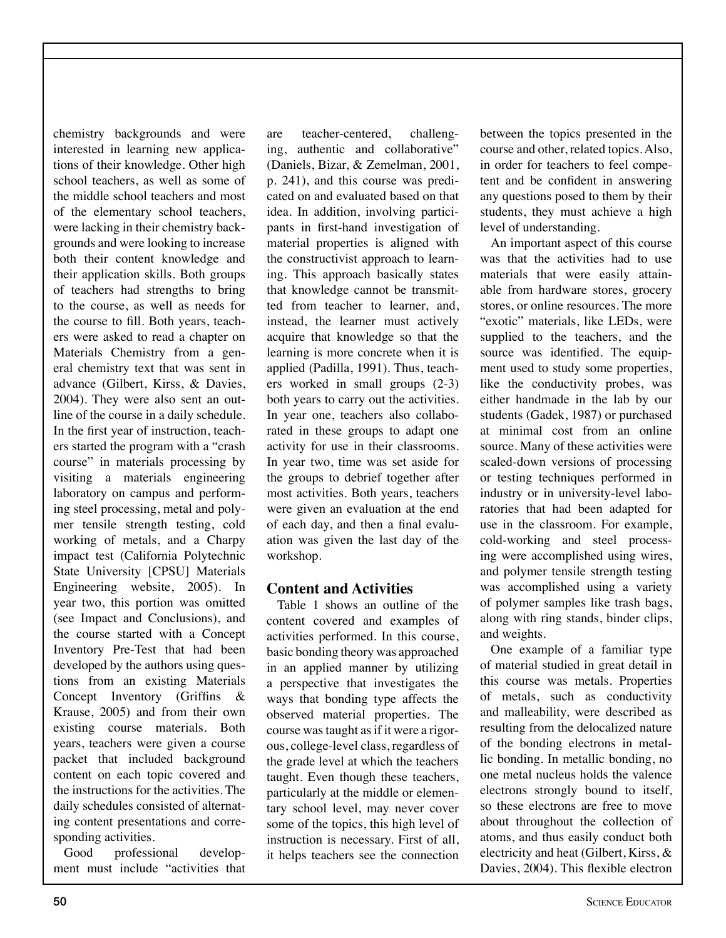chemistry backgrounds and were interested in learning new applications of their knowledge. Other high school teachers, as well as some of the middle school teachers and most of the elementary school teachers, were lacking in their chemistry backgrounds and were looking to increase both their content knowledge and their application skills. Both groups of teachers had strengths to bring to the course, as well as needs for the course to fill. Both years, teachers were asked to read a chapter on Materials Chemistry from a general chemistry text that was sent in advance (Gilbert, Kirss, & Davies, 2004). They were also sent an outline of the course in a daily schedule. In the first year of instruction, teachers started the program with a "crash" course" in materials processing by visiting a materials engineering laboratory on campus and performing steel processing, metal and polymer tensile strength testing, cold working of metals, and a Charpy impact test (California Polytechnic State University [CPSU] Materials Engineering website, 2005). In year two, this portion was omitted (see Impact and Conclusions), and the course started with a Concept Inventory Pre-Test that had been developed by the authors using questions from an existing Materials Concept Inventory (Griffins  $\&$ Krause, 2005) and from their own existing course materials. Both years, teachers were given a course packet that included background content on each topic covered and the instructions for the activities. The daily schedules consisted of alternating content presentations and corresponding activities.

Good professional development must include "activities that are teacher-centered, challenging, authentic and collaborative" (Daniels, Bizar, & Zemelman, 2001, p. 241), and this course was predicated on and evaluated based on that idea. In addition, involving participants in first-hand investigation of material properties is aligned with the constructivist approach to learning. This approach basically states that knowledge cannot be transmitted from teacher to learner, and, instead, the learner must actively acquire that knowledge so that the learning is more concrete when it is applied (Padilla, 1991). Thus, teachers worked in small groups  $(2-3)$ both years to carry out the activities. In year one, teachers also collaborated in these groups to adapt one activity for use in their classrooms. In year two, time was set aside for the groups to debrief together after most activities. Both years, teachers were given an evaluation at the end of each day, and then a final evaluation was given the last day of the workshop.

## **Content and Activities**

Table 1 shows an outline of the content covered and examples of activities performed. In this course, basic bonding theory was approached in an applied manner by utilizing a perspective that investigates the ways that bonding type affects the observed material properties. The course was taught as if it were a rigorous, college-level class, regardless of the grade level at which the teachers taught. Even though these teachers, particularly at the middle or elementary school level, may never cover some of the topics, this high level of instruction is necessary. First of all, it helps teachers see the connection

between the topics presented in the course and other, related topics. Also, in order for teachers to feel competent and be confident in answering any questions posed to them by their students, they must achieve a high level of understanding.

An important aspect of this course was that the activities had to use materials that were easily attainable from hardware stores, grocery stores, or online resources. The more "exotic" materials, like LEDs, were supplied to the teachers, and the source was identified. The equipment used to study some properties, like the conductivity probes, was either handmade in the lab by our students (Gadek, 1987) or purchased at minimal cost from an online source. Many of these activities were scaled-down versions of processing or testing techniques performed in industry or in university-level laboratories that had been adapted for use in the classroom. For example, cold-working and steel processing were accomplished using wires, and polymer tensile strength testing was accomplished using a variety of polymer samples like trash bags, along with ring stands, binder clips, and weights.

One example of a familiar type of material studied in great detail in this course was metals. Properties of metals, such as conductivity and malleability, were described as resulting from the delocalized nature of the bonding electrons in metallic bonding. In metallic bonding, no one metal nucleus holds the valence electrons strongly bound to itself, so these electrons are free to move about throughout the collection of atoms, and thus easily conduct both electricity and heat (Gilbert, Kirss, & Davies, 2004). This flexible electron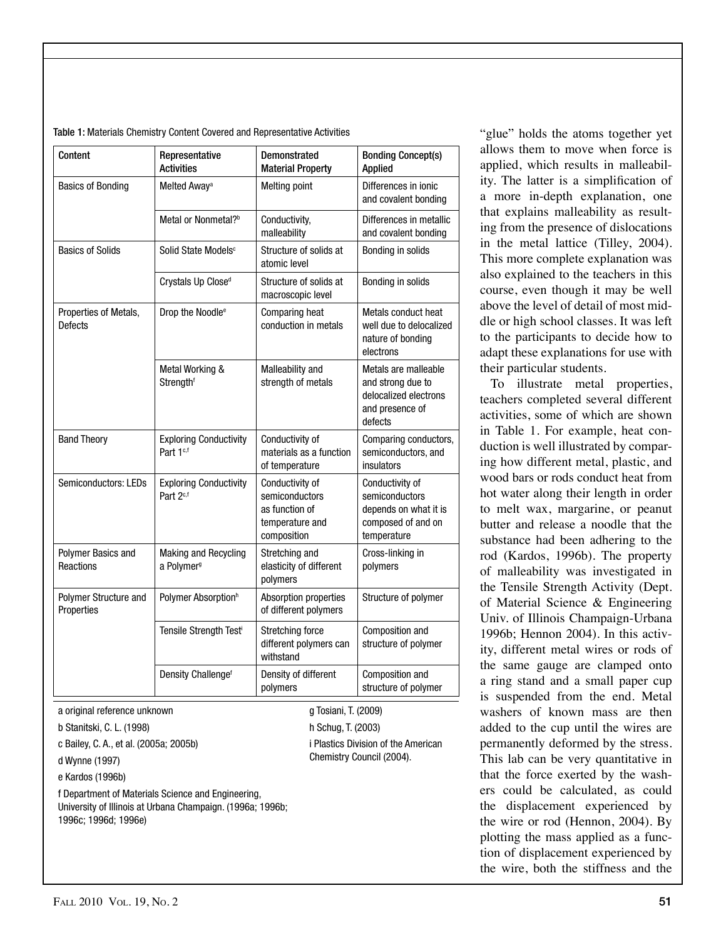| Content                             | Representative<br><b>Activities</b>                    | <b>Demonstrated</b><br><b>Material Property</b>                                       | <b>Bonding Concept(s)</b><br><b>Applied</b>                                                      |
|-------------------------------------|--------------------------------------------------------|---------------------------------------------------------------------------------------|--------------------------------------------------------------------------------------------------|
| <b>Basics of Bonding</b>            | Melted Away <sup>a</sup>                               | <b>Melting point</b>                                                                  | Differences in ionic<br>and covalent bonding                                                     |
|                                     | Metal or Nonmetal? <sup>b</sup>                        | Conductivity,<br>malleability                                                         | Differences in metallic<br>and covalent bonding                                                  |
| <b>Basics of Solids</b>             | Solid State Models <sup>c</sup>                        | Structure of solids at<br>atomic level                                                | Bonding in solids                                                                                |
|                                     | Crystals Up Close <sup>d</sup>                         | Structure of solids at<br>macroscopic level                                           | Bonding in solids                                                                                |
| Properties of Metals,<br>Defects    | Drop the Noodle <sup>e</sup>                           | Comparing heat<br>conduction in metals                                                | Metals conduct heat<br>well due to delocalized<br>nature of bonding<br>electrons                 |
|                                     | Metal Working &<br>Strengthf                           | Malleability and<br>strength of metals                                                | Metals are malleable<br>and strong due to<br>delocalized electrons<br>and presence of<br>defects |
| <b>Band Theory</b>                  | <b>Exploring Conductivity</b><br>Part 1 <sup>c,f</sup> | Conductivity of<br>materials as a function<br>of temperature                          | Comparing conductors,<br>semiconductors, and<br>insulators                                       |
| Semiconductors: LEDs                | <b>Exploring Conductivity</b><br>Part 2 <sup>c,f</sup> | Conductivity of<br>semiconductors<br>as function of<br>temperature and<br>composition | Conductivity of<br>semiconductors<br>depends on what it is<br>composed of and on<br>temperature  |
| Polymer Basics and<br>Reactions     | Making and Recycling<br>a Polymer <sup>9</sup>         | Stretching and<br>elasticity of different<br>polymers                                 | Cross-linking in<br>polymers                                                                     |
| Polymer Structure and<br>Properties | Polymer Absorption <sup>h</sup>                        | Absorption properties<br>of different polymers                                        | Structure of polymer                                                                             |
|                                     | Tensile Strength Testi                                 | Stretching force<br>different polymers can<br>withstand                               | Composition and<br>structure of polymer                                                          |
|                                     | Density Challenge <sup>f</sup>                         | Density of different<br>polymers                                                      | Composition and<br>structure of polymer                                                          |
| a original reference unknown        |                                                        | g Tosiani, T. (2009)                                                                  |                                                                                                  |

h Schug, T. (2003)

i Plastics Division of the American Chemistry Council (2004).

#### Table 1: Materials Chemistry Content Covered and Representative Activities

b Stanitski, C. L. (1998)

c Bailey, C. A., et al. (2005a; 2005b)

d Wynne (1997)

e Kardos (1996b)

f Department of Materials Science and Engineering, University of Illinois at Urbana Champaign. (1996a; 1996b; 1996c; 1996d; 1996e)

"glue" holds the atoms together yet allows them to move when force is applied, which results in malleability. The latter is a simplification of a more in-depth explanation, one that explains malleability as resulting from the presence of dislocations in the metal lattice (Tilley, 2004). This more complete explanation was also explained to the teachers in this course, even though it may be well above the level of detail of most middle or high school classes. It was left to the participants to decide how to adapt these explanations for use with their particular students.

To illustrate metal properties, teachers completed several different activities, some of which are shown in Table 1. For example, heat conduction is well illustrated by comparing how different metal, plastic, and wood bars or rods conduct heat from hot water along their length in order to melt wax, margarine, or peanut butter and release a noodle that the substance had been adhering to the rod (Kardos, 1996b). The property of malleability was investigated in the Tensile Strength Activity (Dept. of Material Science  $&$  Engineering Univ. of Illinois Champaign-Urbana 1996b; Hennon 2004). In this activity, different metal wires or rods of the same gauge are clamped onto a ring stand and a small paper cup is suspended from the end. Metal washers of known mass are then added to the cup until the wires are permanently deformed by the stress. This lab can be very quantitative in that the force exerted by the washers could be calculated, as could the displacement experienced by the wire or rod (Hennon,  $2004$ ). By plotting the mass applied as a function of displacement experienced by the wire, both the stiffness and the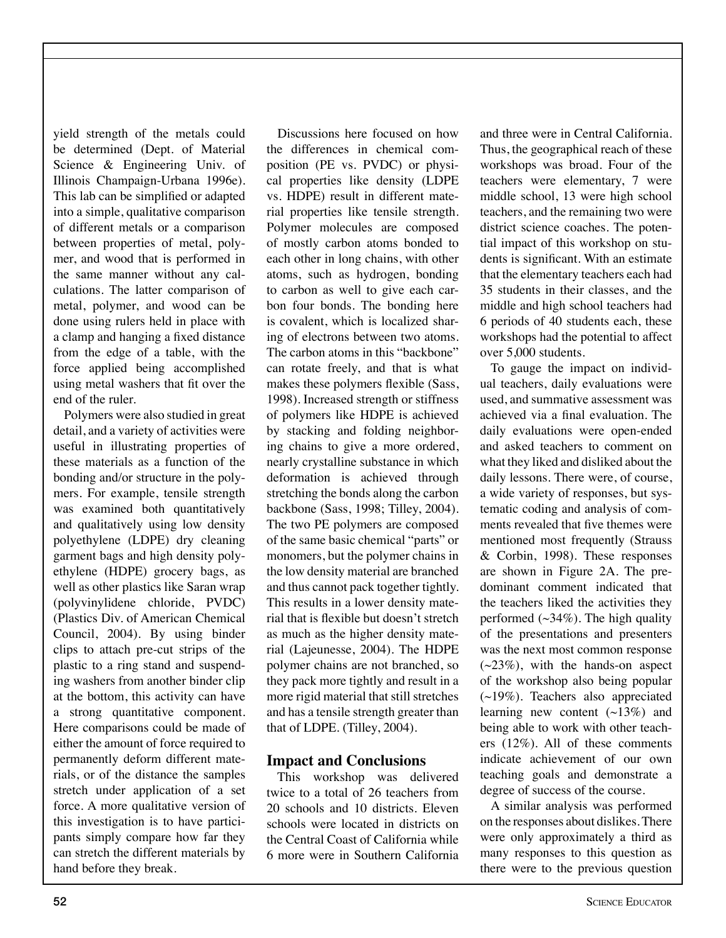yield strength of the metals could be determined (Dept. of Material Science  $\&$  Engineering Univ. of Illinois Champaign-Urbana 1996e). This lab can be simplified or adapted into a simple, qualitative comparison of different metals or a comparison between properties of metal, polymer, and wood that is performed in the same manner without any calculations. The latter comparison of metal, polymer, and wood can be done using rulers held in place with a clamp and hanging a fixed distance from the edge of a table, with the force applied being accomplished using metal washers that fit over the end of the ruler.

Polymers were also studied in great detail, and a variety of activities were useful in illustrating properties of these materials as a function of the bonding and/or structure in the polymers. For example, tensile strength was examined both quantitatively and qualitatively using low density polyethylene (LDPE) dry cleaning garment bags and high density polyethylene (HDPE) grocery bags, as well as other plastics like Saran wrap (polyvinylidene chloride, PVDC) (Plastics Div. of American Chemical Council, 2004). By using binder clips to attach pre-cut strips of the plastic to a ring stand and suspending washers from another binder clip at the bottom, this activity can have a strong quantitative component. Here comparisons could be made of either the amount of force required to permanently deform different materials, or of the distance the samples stretch under application of a set force. A more qualitative version of this investigation is to have participants simply compare how far they can stretch the different materials by hand before they break.

Discussions here focused on how the differences in chemical composition (PE vs. PVDC) or physical properties like density (LDPE vs. HDPE) result in different material properties like tensile strength. Polymer molecules are composed of mostly carbon atoms bonded to each other in long chains, with other atoms, such as hydrogen, bonding to carbon as well to give each carbon four bonds. The bonding here is covalent, which is localized sharing of electrons between two atoms. The carbon atoms in this "backbone" can rotate freely, and that is what makes these polymers flexible (Sass, 1998). Increased strength or stiffness of polymers like HDPE is achieved by stacking and folding neighboring chains to give a more ordered, nearly crystalline substance in which deformation is achieved through stretching the bonds along the carbon backbone (Sass, 1998; Tilley, 2004). The two PE polymers are composed of the same basic chemical "parts" or monomers, but the polymer chains in the low density material are branched and thus cannot pack together tightly. This results in a lower density material that is flexible but doesn't stretch as much as the higher density material (Lajeunesse, 2004). The HDPE polymer chains are not branched, so they pack more tightly and result in a more rigid material that still stretches and has a tensile strength greater than that of LDPE. (Tilley, 2004).

## **Impact and Conclusions**

This workshop was delivered twice to a total of 26 teachers from 20 schools and 10 districts. Eleven schools were located in districts on the Central Coast of California while 6 more were in Southern California

and three were in Central California. Thus, the geographical reach of these workshops was broad. Four of the teachers were elementary, 7 were middle school, 13 were high school teachers, and the remaining two were district science coaches. The potential impact of this workshop on students is significant. With an estimate that the elementary teachers each had 35 students in their classes, and the middle and high school teachers had 6 periods of 40 students each, these workshops had the potential to affect over 5,000 students.

To gauge the impact on individual teachers, daily evaluations were used, and summative assessment was achieved via a final evaluation. The daily evaluations were open-ended and asked teachers to comment on what they liked and disliked about the daily lessons. There were, of course, a wide variety of responses, but systematic coding and analysis of comments revealed that five themes were mentioned most frequently (Strauss  $&$  Corbin, 1998). These responses are shown in Figure 2A. The predominant comment indicated that the teachers liked the activities they performed  $(\sim 34\%)$ . The high quality of the presentations and presenters was the next most common response  $(\sim 23\%)$ , with the hands-on aspect of the workshop also being popular  $(\sim19\%)$ . Teachers also appreciated learning new content  $(\sim 13\%)$  and being able to work with other teachers  $(12\%)$ . All of these comments indicate achievement of our own teaching goals and demonstrate a degree of success of the course.

A similar analysis was performed on the responses about dislikes. There were only approximately a third as many responses to this question as there were to the previous question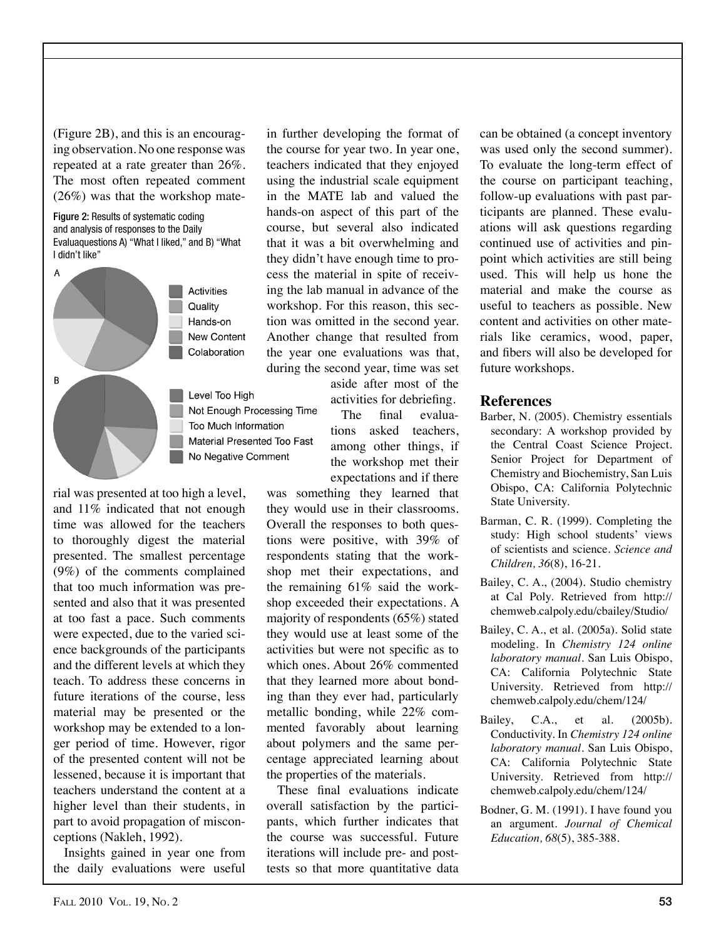(Figure  $2B$ ), and this is an encouraging observation. No one response was repeated at a rate greater than  $26\%$ . The most often repeated comment  $(26%)$  was that the workshop mate-

Figure 2: Results of systematic coding and analysis of responses to the Daily Evaluaquestions A) "What I liked," and B) "What I didn't like"



rial was presented at too high a level, and 11% indicated that not enough time was allowed for the teachers to thoroughly digest the material presented. The smallest percentage  $(9\%)$  of the comments complained that too much information was presented and also that it was presented at too fast a pace. Such comments were expected, due to the varied science backgrounds of the participants and the different levels at which they teach. To address these concerns in future iterations of the course, less material may be presented or the workshop may be extended to a longer period of time. However, rigor of the presented content will not be lessened, because it is important that teachers understand the content at a higher level than their students, in part to avoid propagation of misconceptions (Nakleh, 1992).

Insights gained in year one from the daily evaluations were useful

in further developing the format of the course for year two. In year one, teachers indicated that they enjoyed using the industrial scale equipment in the MATE lab and valued the hands-on aspect of this part of the course, but several also indicated that it was a bit overwhelming and they didn't have enough time to process the material in spite of receiving the lab manual in advance of the workshop. For this reason, this section was omitted in the second year. Another change that resulted from the year one evaluations was that, during the second year, time was set

> aside after most of the activities for debriefing.

The final evaluations asked teachers, among other things, if the workshop met their expectations and if there

was something they learned that they would use in their classrooms. Overall the responses to both questions were positive, with 39% of respondents stating that the workshop met their expectations, and the remaining  $61\%$  said the workshop exceeded their expectations. A majority of respondents  $(65%)$  stated they would use at least some of the activities but were not specific as to which ones. About 26% commented that they learned more about bonding than they ever had, particularly metallic bonding, while  $22\%$  commented favorably about learning about polymers and the same percentage appreciated learning about the properties of the materials.

These final evaluations indicate overall satisfaction by the participants, which further indicates that the course was successful. Future iterations will include pre- and posttests so that more quantitative data

can be obtained (a concept inventory was used only the second summer). To evaluate the long-term effect of the course on participant teaching, follow-up evaluations with past participants are planned. These evaluations will ask questions regarding continued use of activities and pinpoint which activities are still being used. This will help us hone the material and make the course as useful to teachers as possible. New content and activities on other materials like ceramics, wood, paper, and fibers will also be developed for future workshops.

#### **References**

- Barber, N. (2005). Chemistry essentials secondary: A workshop provided by the Central Coast Science Project. Senior Project for Department of Chemistry and Biochemistry, San Luis Obispo, CA: California Polytechnic State University.
- Barman, C. R. (1999). Completing the study: High school students' views of scientists and science. *Science and Children, 36(8), 16-21.*
- Bailey, C. A., (2004). Studio chemistry at Cal Poly. Retrieved from http:// chemweb.calpoly.edu/cbailey/Studio/
- Bailey, C. A., et al. (2005a). Solid state modeling. In *Chemistry 124 online laboratory manual*. San Luis Obispo, CA: California Polytechnic State University. Retrieved from http:// chemweb.calpoly.edu/chem/124/
- Bailey, C.A., et al. (2005b). Conductivity. In *Chemistry 124 online laboratory manual*. San Luis Obispo, CA: California Polytechnic State University. Retrieved from http:// chemweb.calpoly.edu/chem/124/
- Bodner, G. M. (1991). I have found you an argument. *Journal of Chemical Education,* 68(5), 385-388.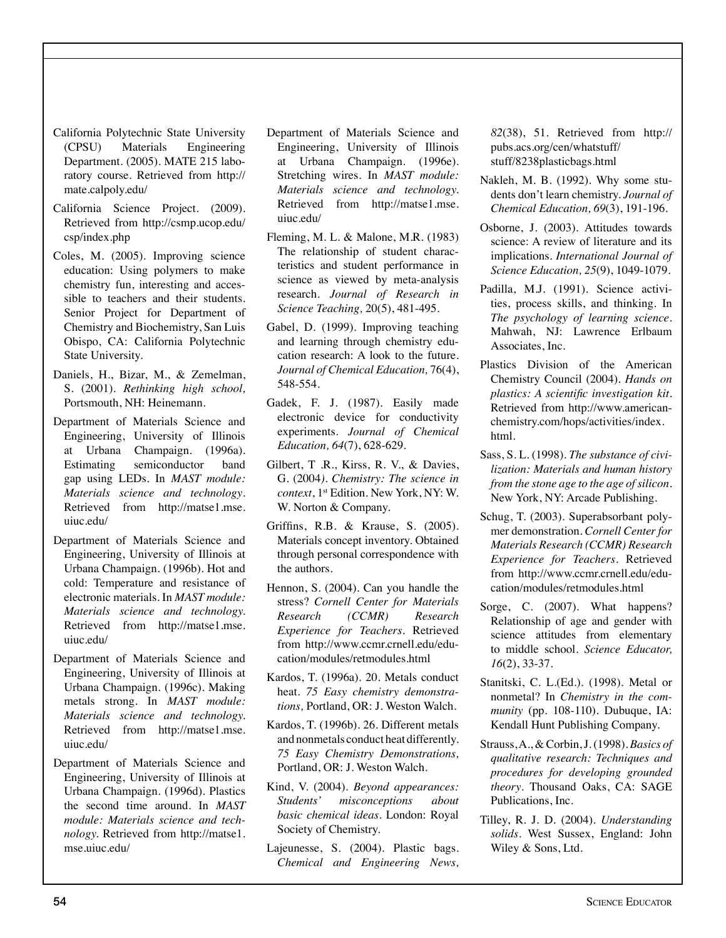- California Polytechnic State University (CPSU) Materials Engineering Department. (2005). MATE 215 laboratory course. Retrieved from http:// mate.calpoly.edu/
- California Science Project. (2009). Retrieved from http://csmp.ucop.edu/ csp/index.php
- Coles, M. (2005). Improving science education: Using polymers to make chemistry fun, interesting and accessible to teachers and their students. Senior Project for Department of Chemistry and Biochemistry, San Luis Obispo, CA: California Polytechnic State University.
- Daniels, H., Bizar, M., & Zemelman, S. (2001). *Rethinking high school,*  Portsmouth, NH: Heinemann.
- Department of Materials Science and Engineering, University of Illinois at Urbana Champaign. (1996a). Estimating semiconductor band gap using LEDs. In *MAST module: Materials science and technology*. Retrieved from http://matse1.mse. uiuc.edu/
- Department of Materials Science and Engineering, University of Illinois at Urbana Champaign. (1996b). Hot and cold: Temperature and resistance of electronic materials. In *MAST module: Materials science and technology.*  Retrieved from http://matse1.mse. uiuc.edu/
- Department of Materials Science and Engineering, University of Illinois at Urbana Champaign. (1996c). Making metals strong. In *MAST module: Materials science and technology.* Retrieved from http://matse1.mse. uiuc.edu/
- Department of Materials Science and Engineering, University of Illinois at Urbana Champaign. (1996d). Plastics the second time around. In *MAST module: Materials science and technology*. Retrieved from http://matse1. mse.uiuc.edu/
- Department of Materials Science and Engineering, University of Illinois at Urbana Champaign. (1996e). Stretching wires. In *MAST module: Materials science and technology.*  Retrieved from http://matse1.mse. uiuc.edu/
- Fleming, M. L.  $&$  Malone, M.R. (1983) The relationship of student characteristics and student performance in science as viewed by meta-analysis research. *Journal of Research in Science Teaching, 20(5), 481-495.*
- Gabel, D. (1999). Improving teaching and learning through chemistry education research: A look to the future. *Journal of Chemical Education,* 76(4), 548-554.
- Gadek, F. J. (1987). Easily made electronic device for conductivity experiments. *Journal of Chemical Education,* 64(7), 628-629.
- Gilbert, T.R., Kirss, R. V.,  $\&$  Davies, G. (2004*). Chemistry: The science in context*, 1<sup>st</sup> Edition. New York, NY: W. W. Norton & Company.
- Griffins, R.B. & Krause, S. (2005). Materials concept inventory. Obtained through personal correspondence with the authors.
- Hennon, S. (2004). Can you handle the stress? *Cornell Center for Materials Research (CCMR) Research Experience for Teachers.* Retrieved from http://www.ccmr.crnell.edu/education/modules/retmodules.html
- Kardos, T. (1996a). 20. Metals conduct heat. *75 Easy chemistry demonstra*tions, Portland, OR: J. Weston Walch.
- Kardos, T. (1996b). 26. Different metals and nonmetals conduct heat differently. *75 Easy Chemistry Demonstrations,* Portland, OR: J. Weston Walch.
- Kind, V. (2004). *Beyond appearances: Students' misconceptions about basic chemical ideas*. London: Royal Society of Chemistry.
- Lajeunesse, S. (2004). Plastic bags. *Chemical and Engineering News,*

*82*(38), 51. Retrieved from http:// pubs.acs.org/cen/whatstuff/ stuff/8238plasticbags.html

- Nakleh, M. B. (1992). Why some students don't learn chemistry. *Journal of Chemical Education, 69*(3), 191-196.
- Osborne, J. (2003). Attitudes towards science: A review of literature and its implications. *International Journal of Science Education, 25(9), 1049-1079.*
- Padilla, M.J. (1991). Science activities, process skills, and thinking. In *The psychology of learning science.* Mahwah, NJ: Lawrence Erlbaum Associates, Inc.
- Plastics Division of the American Chemistry Council (2004). *Hands on plastics: A scientific investigation kit.* Retrieved from http://www.americanchemistry.com/hops/activities/index. html.
- Sass, S. L. (1998). The substance of civi*lization: Materials and human history from the stone age to the age of silicon.* New York, NY: Arcade Publishing.
- Schug, T. (2003). Superabsorbant polymer demonstration. Cornell Center for *Materials Research (CCMR) Research Experience for Teachers.* Retrieved from http://www.ccmr.crnell.edu/education/modules/retmodules.html
- Sorge, C. (2007). What happens? Relationship of age and gender with science attitudes from elementary to middle school. *Science Educator, 16*(2), 33-37.
- Stanitski, C. L.(Ed.). (1998). Metal or nonmetal? In *Chemistry in the community* (pp. 108-110). Dubuque, IA: Kendall Hunt Publishing Company.
- Strauss, A., & Corbin, J. (1998). *Basics of qualitative research: Techniques and procedures for developing grounded theory*. Thousand Oaks, CA: SAGE Publications, Inc.
- Tilley, R. J. D. (2004). *Understanding* solids. West Sussex, England: John Wiley & Sons, Ltd.